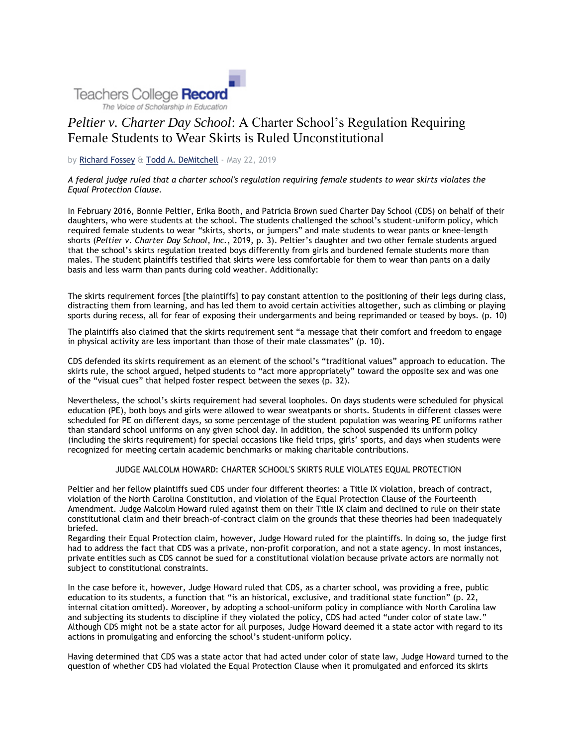

# *Peltier v. Charter Day School*: A Charter School's Regulation Requiring Female Students to Wear Skirts is Ruled Unconstitutional

by [Richard Fossey](https://www.tcrecord.org/AuthorDisplay.asp?aid=19481) & [Todd A. DeMitchell](https://www.tcrecord.org/AuthorDisplay.asp?aid=19475) - May 22, 2019

## *A federal judge ruled that a charter school's regulation requiring female students to wear skirts violates the Equal Protection Clause.*

In February 2016, Bonnie Peltier, Erika Booth, and Patricia Brown sued Charter Day School (CDS) on behalf of their daughters, who were students at the school. The students challenged the school's student-uniform policy, which required female students to wear "skirts, shorts, or jumpers" and male students to wear pants or knee-length shorts (*Peltier v. Charter Day School, Inc.*, 2019, p. 3). Peltier's daughter and two other female students argued that the school's skirts regulation treated boys differently from girls and burdened female students more than males. The student plaintiffs testified that skirts were less comfortable for them to wear than pants on a daily basis and less warm than pants during cold weather. Additionally:

The skirts requirement forces [the plaintiffs] to pay constant attention to the positioning of their legs during class, distracting them from learning, and has led them to avoid certain activities altogether, such as climbing or playing sports during recess, all for fear of exposing their undergarments and being reprimanded or teased by boys. (p. 10)

The plaintiffs also claimed that the skirts requirement sent "a message that their comfort and freedom to engage in physical activity are less important than those of their male classmates" (p. 10).

CDS defended its skirts requirement as an element of the school's "traditional values" approach to education. The skirts rule, the school argued, helped students to "act more appropriately" toward the opposite sex and was one of the "visual cues" that helped foster respect between the sexes (p. 32).

Nevertheless, the school's skirts requirement had several loopholes. On days students were scheduled for physical education (PE), both boys and girls were allowed to wear sweatpants or shorts. Students in different classes were scheduled for PE on different days, so some percentage of the student population was wearing PE uniforms rather than standard school uniforms on any given school day. In addition, the school suspended its uniform policy (including the skirts requirement) for special occasions like field trips, girls' sports, and days when students were recognized for meeting certain academic benchmarks or making charitable contributions.

## JUDGE MALCOLM HOWARD: CHARTER SCHOOL'S SKIRTS RULE VIOLATES EQUAL PROTECTION

Peltier and her fellow plaintiffs sued CDS under four different theories: a Title IX violation, breach of contract, violation of the North Carolina Constitution, and violation of the Equal Protection Clause of the Fourteenth Amendment. Judge Malcolm Howard ruled against them on their Title IX claim and declined to rule on their state constitutional claim and their breach-of-contract claim on the grounds that these theories had been inadequately briefed.

Regarding their Equal Protection claim, however, Judge Howard ruled for the plaintiffs. In doing so, the judge first had to address the fact that CDS was a private, non-profit corporation, and not a state agency. In most instances, private entities such as CDS cannot be sued for a constitutional violation because private actors are normally not subject to constitutional constraints.

In the case before it, however, Judge Howard ruled that CDS, as a charter school, was providing a free, public education to its students, a function that "is an historical, exclusive, and traditional state function" (p. 22, internal citation omitted). Moreover, by adopting a school-uniform policy in compliance with North Carolina law and subjecting its students to discipline if they violated the policy, CDS had acted "under color of state law." Although CDS might not be a state actor for all purposes, Judge Howard deemed it a state actor with regard to its actions in promulgating and enforcing the school's student-uniform policy.

Having determined that CDS was a state actor that had acted under color of state law, Judge Howard turned to the question of whether CDS had violated the Equal Protection Clause when it promulgated and enforced its skirts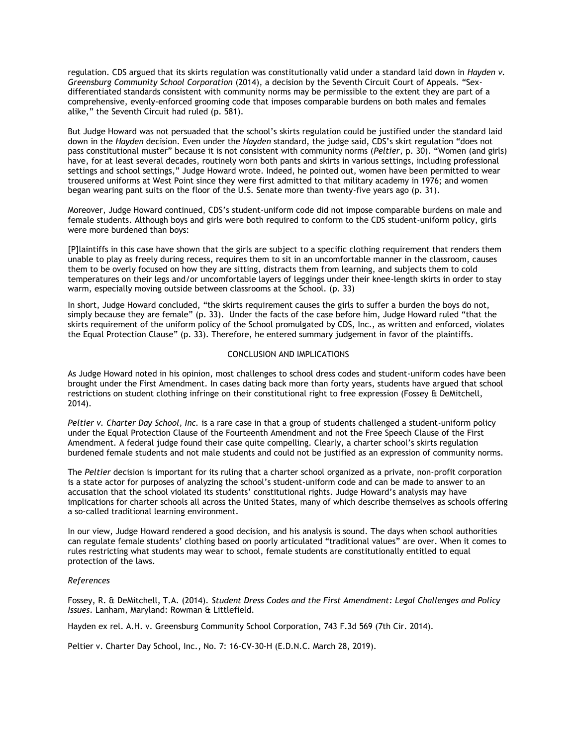regulation. CDS argued that its skirts regulation was constitutionally valid under a standard laid down in *Hayden v. Greensburg Community School Corporation* (2014), a decision by the Seventh Circuit Court of Appeals. "Sexdifferentiated standards consistent with community norms may be permissible to the extent they are part of a comprehensive, evenly-enforced grooming code that imposes comparable burdens on both males and females alike," the Seventh Circuit had ruled (p. 581).

But Judge Howard was not persuaded that the school's skirts regulation could be justified under the standard laid down in the *Hayden* decision. Even under the *Hayden* standard, the judge said, CDS's skirt regulation "does not pass constitutional muster" because it is not consistent with community norms (*Peltier*, p. 30). "Women (and girls) have, for at least several decades, routinely worn both pants and skirts in various settings, including professional settings and school settings," Judge Howard wrote. Indeed, he pointed out, women have been permitted to wear trousered uniforms at West Point since they were first admitted to that military academy in 1976; and women began wearing pant suits on the floor of the U.S. Senate more than twenty-five years ago (p. 31).

Moreover, Judge Howard continued, CDS's student-uniform code did not impose comparable burdens on male and female students. Although boys and girls were both required to conform to the CDS student-uniform policy, girls were more burdened than boys:

[P]laintiffs in this case have shown that the girls are subject to a specific clothing requirement that renders them unable to play as freely during recess, requires them to sit in an uncomfortable manner in the classroom, causes them to be overly focused on how they are sitting, distracts them from learning, and subjects them to cold temperatures on their legs and/or uncomfortable layers of leggings under their knee-length skirts in order to stay warm, especially moving outside between classrooms at the School. (p. 33)

In short, Judge Howard concluded, "the skirts requirement causes the girls to suffer a burden the boys do not, simply because they are female" (p. 33). Under the facts of the case before him, Judge Howard ruled "that the skirts requirement of the uniform policy of the School promulgated by CDS, Inc., as written and enforced, violates the Equal Protection Clause" (p. 33). Therefore, he entered summary judgement in favor of the plaintiffs.

#### CONCLUSION AND IMPLICATIONS

As Judge Howard noted in his opinion, most challenges to school dress codes and student-uniform codes have been brought under the First Amendment. In cases dating back more than forty years, students have argued that school restrictions on student clothing infringe on their constitutional right to free expression (Fossey & DeMitchell, 2014).

*Peltier v. Charter Day School, Inc.* is a rare case in that a group of students challenged a student-uniform policy under the Equal Protection Clause of the Fourteenth Amendment and not the Free Speech Clause of the First Amendment. A federal judge found their case quite compelling. Clearly, a charter school's skirts regulation burdened female students and not male students and could not be justified as an expression of community norms.

The *Peltier* decision is important for its ruling that a charter school organized as a private, non-profit corporation is a state actor for purposes of analyzing the school's student-uniform code and can be made to answer to an accusation that the school violated its students' constitutional rights. Judge Howard's analysis may have implications for charter schools all across the United States, many of which describe themselves as schools offering a so-called traditional learning environment.

In our view, Judge Howard rendered a good decision, and his analysis is sound. The days when school authorities can regulate female students' clothing based on poorly articulated "traditional values" are over. When it comes to rules restricting what students may wear to school, female students are constitutionally entitled to equal protection of the laws.

#### *References*

Fossey, R. & DeMitchell, T.A. (2014). *Student Dress Codes and the First Amendment: Legal Challenges and Policy Issues*. Lanham, Maryland: Rowman & Littlefield.

Hayden ex rel. A.H. v. Greensburg Community School Corporation, 743 F.3d 569 (7th Cir. 2014).

Peltier v. Charter Day School, Inc., No. 7: 16-CV-30-H (E.D.N.C. March 28, 2019).